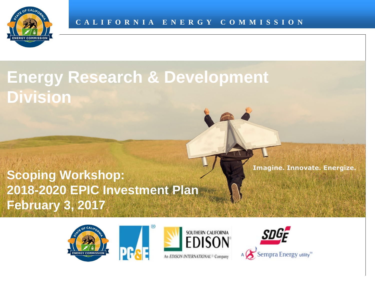

# **Energy Research & Development Division**

#### **Scoping Workshop: 2018-2020 EPIC Investment Plan February 3, 2017**







Imagine. Innovate. Energize.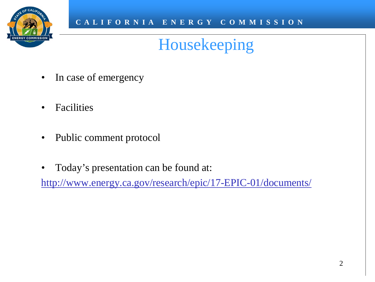

### Housekeeping

- In case of emergency
- Facilities
- Public comment protocol
- Today's presentation can be found at:

<http://www.energy.ca.gov/research/epic/17-EPIC-01/documents/>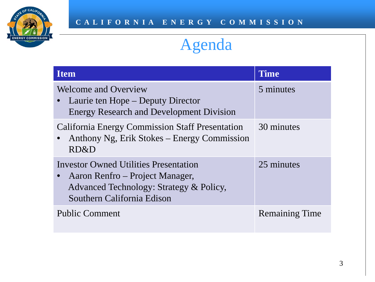

### Agenda

| <b>Item</b>                                                                                                                                              | <b>Time</b>           |
|----------------------------------------------------------------------------------------------------------------------------------------------------------|-----------------------|
| <b>Welcome and Overview</b><br>Laurie ten Hope – Deputy Director<br><b>Energy Research and Development Division</b>                                      | 5 minutes             |
| <b>California Energy Commission Staff Presentation</b><br>• Anthony Ng, Erik Stokes – Energy Commission<br>RD&D                                          | 30 minutes            |
| <b>Investor Owned Utilities Presentation</b><br>Aaron Renfro – Project Manager,<br>Advanced Technology: Strategy & Policy,<br>Southern California Edison | 25 minutes            |
| <b>Public Comment</b>                                                                                                                                    | <b>Remaining Time</b> |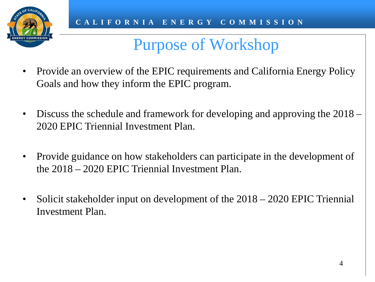

#### Purpose of Workshop

- Provide an overview of the EPIC requirements and California Energy Policy Goals and how they inform the EPIC program.
- Discuss the schedule and framework for developing and approving the 2018 2020 EPIC Triennial Investment Plan.
- Provide guidance on how stakeholders can participate in the development of the 2018 – 2020 EPIC Triennial Investment Plan.
- Solicit stakeholder input on development of the 2018 2020 EPIC Triennial Investment Plan.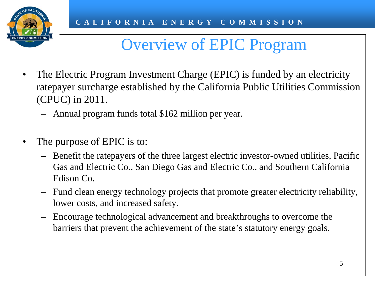

#### Overview of EPIC Program

- The Electric Program Investment Charge (EPIC) is funded by an electricity ratepayer surcharge established by the California Public Utilities Commission (CPUC) in 2011.
	- Annual program funds total \$162 million per year.
- The purpose of EPIC is to:
	- Benefit the ratepayers of the three largest electric investor-owned utilities, Pacific Gas and Electric Co., San Diego Gas and Electric Co., and Southern California Edison Co.
	- Fund clean energy technology projects that promote greater electricity reliability, lower costs, and increased safety.
	- Encourage technological advancement and breakthroughs to overcome the barriers that prevent the achievement of the state's statutory energy goals.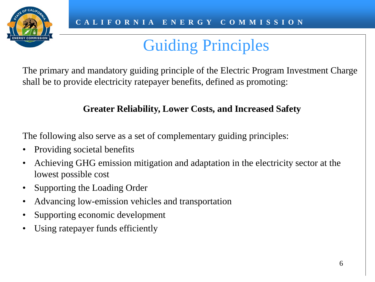

# Guiding Principles

The primary and mandatory guiding principle of the Electric Program Investment Charge shall be to provide electricity ratepayer benefits, defined as promoting:

#### **Greater Reliability, Lower Costs, and Increased Safety**

The following also serve as a set of complementary guiding principles:

- Providing societal benefits
- Achieving GHG emission mitigation and adaptation in the electricity sector at the lowest possible cost
- Supporting the Loading Order
- Advancing low-emission vehicles and transportation
- Supporting economic development
- Using ratepayer funds efficiently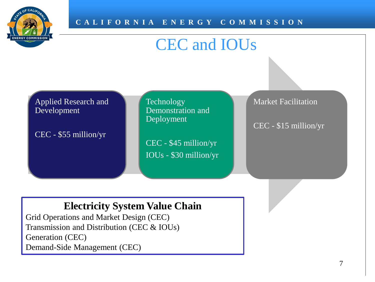

#### CEC and IOUs

| <b>Applied Research and</b> |  |
|-----------------------------|--|
| Development                 |  |

CEC - \$55 million/yr

**Technology** Demonstration and Deployment

CEC - \$45 million/yr IOUs - \$30 million/yr Market Facilitation

CEC - \$15 million/yr

#### **Electricity System Value Chain**

Grid Operations and Market Design (CEC) Transmission and Distribution (CEC & IOUs) Generation (CEC) Demand-Side Management (CEC)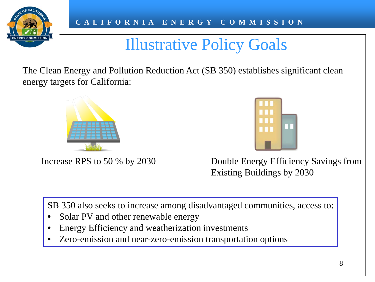

### Illustrative Policy Goals

The Clean Energy and Pollution Reduction Act (SB 350) establishes significant clean energy targets for California:



Increase RPS to 50 % by 2030 Double Energy Efficiency Savings from Existing Buildings by 2030

SB 350 also seeks to increase among disadvantaged communities, access to:

- Solar PV and other renewable energy
- Energy Efficiency and weatherization investments
- Zero-emission and near-zero-emission transportation options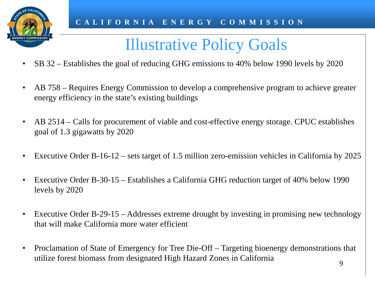

# Illustrative Policy Goals

- SB 32 Establishes the goal of reducing GHG emissions to 40% below 1990 levels by 2020
- AB 758 Requires Energy Commission to develop a comprehensive program to achieve greater energy efficiency in the state's existing buildings
- AB 2514 Calls for procurement of viable and cost-effective energy storage. CPUC establishes goal of 1.3 gigawatts by 2020
- Executive Order B-16-12 sets target of 1.5 million zero-emission vehicles in California by 2025
- Executive Order B-30-15 Establishes a California GHG reduction target of 40% below 1990 levels by 2020
- Executive Order B-29-15 Addresses extreme drought by investing in promising new technology that will make California more water efficient
- Proclamation of State of Emergency for Tree Die-Off Targeting bioenergy demonstrations that utilize forest biomass from designated High Hazard Zones in California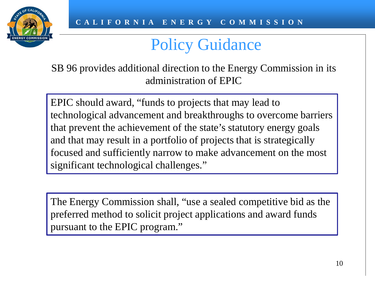

### Policy Guidance

SB 96 provides additional direction to the Energy Commission in its administration of EPIC

EPIC should award, "funds to projects that may lead to technological advancement and breakthroughs to overcome barriers that prevent the achievement of the state's statutory energy goals and that may result in a portfolio of projects that is strategically focused and sufficiently narrow to make advancement on the most significant technological challenges."

The Energy Commission shall, "use a sealed competitive bid as the preferred method to solicit project applications and award funds pursuant to the EPIC program."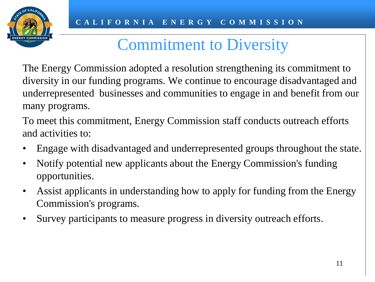

#### Commitment to Diversity

The Energy Commission adopted a resolution strengthening its commitment to diversity in our funding programs. We continue to encourage disadvantaged and underrepresented businesses and communities to engage in and benefit from our many programs.

To meet this commitment, Energy Commission staff conducts outreach efforts and activities to:

- Engage with disadvantaged and underrepresented groups throughout the state.
- Notify potential new applicants about the Energy Commission's funding opportunities.
- Assist applicants in understanding how to apply for funding from the Energy Commission's programs.
- Survey participants to measure progress in diversity outreach efforts.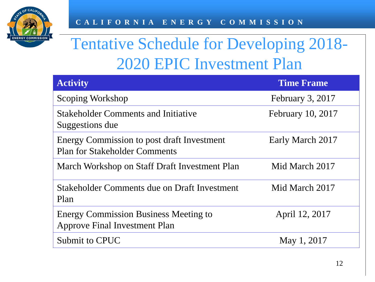

## Tentative Schedule for Developing 2018- 2020 EPIC Investment Plan

| <b>Activity</b>                                                                      | <b>Time Frame</b> |
|--------------------------------------------------------------------------------------|-------------------|
| Scoping Workshop                                                                     | February 3, 2017  |
| <b>Stakeholder Comments and Initiative</b><br>Suggestions due                        | February 10, 2017 |
| Energy Commission to post draft Investment<br><b>Plan for Stakeholder Comments</b>   | Early March 2017  |
| March Workshop on Staff Draft Investment Plan                                        | Mid March 2017    |
| Stakeholder Comments due on Draft Investment<br>Plan                                 | Mid March 2017    |
| <b>Energy Commission Business Meeting to</b><br><b>Approve Final Investment Plan</b> | April 12, 2017    |
| Submit to CPUC                                                                       | May 1, 2017       |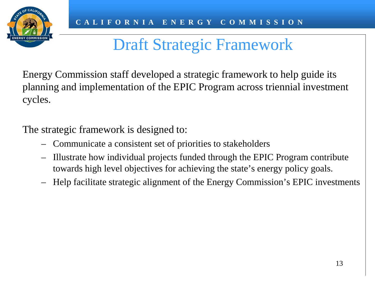

## Draft Strategic Framework

Energy Commission staff developed a strategic framework to help guide its planning and implementation of the EPIC Program across triennial investment cycles.

The strategic framework is designed to:

- Communicate a consistent set of priorities to stakeholders
- Illustrate how individual projects funded through the EPIC Program contribute towards high level objectives for achieving the state's energy policy goals.
- Help facilitate strategic alignment of the Energy Commission's EPIC investments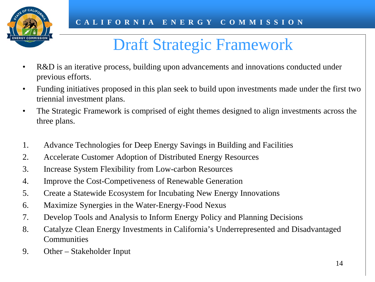

### Draft Strategic Framework

- R&D is an iterative process, building upon advancements and innovations conducted under previous efforts.
- Funding initiatives proposed in this plan seek to build upon investments made under the first two triennial investment plans.
- The Strategic Framework is comprised of eight themes designed to align investments across the three plans.
- 1. Advance Technologies for Deep Energy Savings in Building and Facilities
- 2. Accelerate Customer Adoption of Distributed Energy Resources
- 3. Increase System Flexibility from Low-carbon Resources
- 4. Improve the Cost-Competiveness of Renewable Generation
- 5. Create a Statewide Ecosystem for Incubating New Energy Innovations
- 6. Maximize Synergies in the Water-Energy-Food Nexus
- 7. Develop Tools and Analysis to Inform Energy Policy and Planning Decisions
- 8. Catalyze Clean Energy Investments in California's Underrepresented and Disadvantaged Communities
- 9. Other Stakeholder Input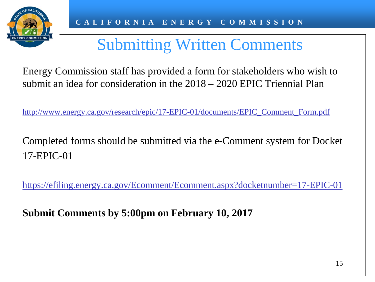

## Submitting Written Comments

Energy Commission staff has provided a form for stakeholders who wish to submit an idea for consideration in the 2018 – 2020 EPIC Triennial Plan

[http://www.energy.ca.gov/research/epic/17-EPIC-01/documents/EPIC\\_Comment\\_Form.pdf](http://www.energy.ca.gov/research/epic/17-EPIC-01/documents/EPIC_Comment_Form.pdf)

Completed forms should be submitted via the e-Comment system for Docket 17-EPIC-01

<https://efiling.energy.ca.gov/Ecomment/Ecomment.aspx?docketnumber=17-EPIC-01>

**Submit Comments by 5:00pm on February 10, 2017**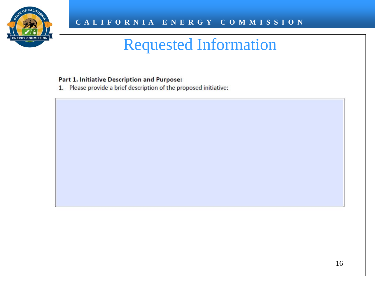

#### Part 1. Initiative Description and Purpose:

1. Please provide a brief description of the proposed initiative: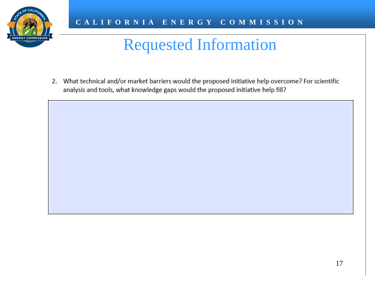

2. What technical and/or market barriers would the proposed initiative help overcome? For scientific analysis and tools, what knowledge gaps would the proposed initiative help fill?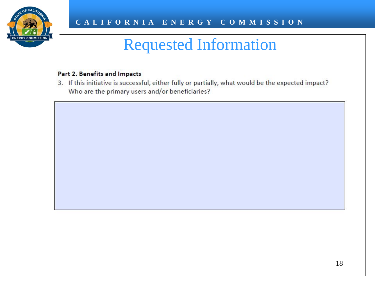

#### Part 2. Benefits and Impacts

3. If this initiative is successful, either fully or partially, what would be the expected impact? Who are the primary users and/or beneficiaries?

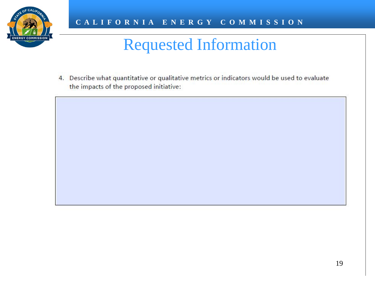

4. Describe what quantitative or qualitative metrics or indicators would be used to evaluate the impacts of the proposed initiative:

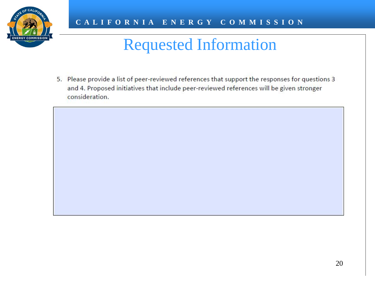

5. Please provide a list of peer-reviewed references that support the responses for questions 3 and 4. Proposed initiatives that include peer-reviewed references will be given stronger consideration.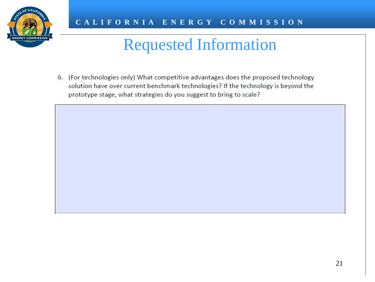

6. (For technologies only) What competitive advantages does the proposed technology solution have over current benchmark technologies? If the technology is beyond the prototype stage, what strategies do you suggest to bring to scale?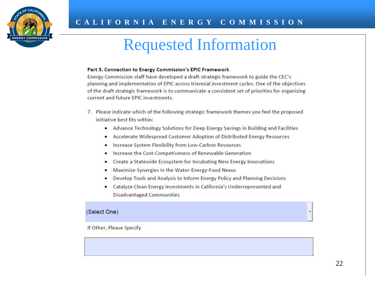

#### Part 3. Connection to Energy Commission's EPIC Framework

Energy Commission staff have developed a draft strategic framework to guide the CEC's planning and implementation of EPIC across triennial investment cycles. One of the objectives of the draft strategic framework is to communicate a consistent set of priorities for organizing current and future FPIC investments.

- 7. Please indicate which of the following strategic framework themes you feel the proposed initiative best fits within:
	- Advance Technology Solutions for Deep Energy Savings in Building and Facilities
	- Accelerate Widespread Customer Adoption of Distributed Energy Resources
	- Increase System Flexibility from Low-Carbon Resources
	- Increase the Cost-Competiveness of Renewable Generation
	- Create a Statewide Ecosystem for Incubating New Energy Innovations
	- Maximize Synergies in the Water-Energy-Food Nexus
	- Develop Tools and Analysis to Inform Energy Policy and Planning Decisions
	- Catalyze Clean Energy Investments in California's Underrepresented and **Disadvantaged Communities**

#### (Select One)

If Other, Please Specify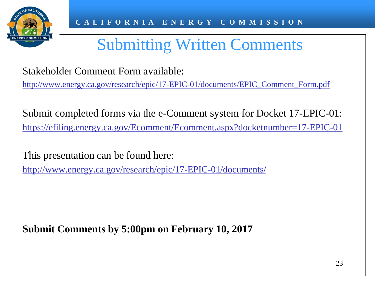

# Submitting Written Comments

Stakeholder Comment Form available:

[http://www.energy.ca.gov/research/epic/17-EPIC-01/documents/EPIC\\_Comment\\_Form.pdf](http://www.energy.ca.gov/research/epic/17-EPIC-01/documents/EPIC_Comment_Form.pdf)

Submit completed forms via the e-Comment system for Docket 17-EPIC-01: <https://efiling.energy.ca.gov/Ecomment/Ecomment.aspx?docketnumber=17-EPIC-01>

This presentation can be found here:

<http://www.energy.ca.gov/research/epic/17-EPIC-01/documents/>

**Submit Comments by 5:00pm on February 10, 2017**